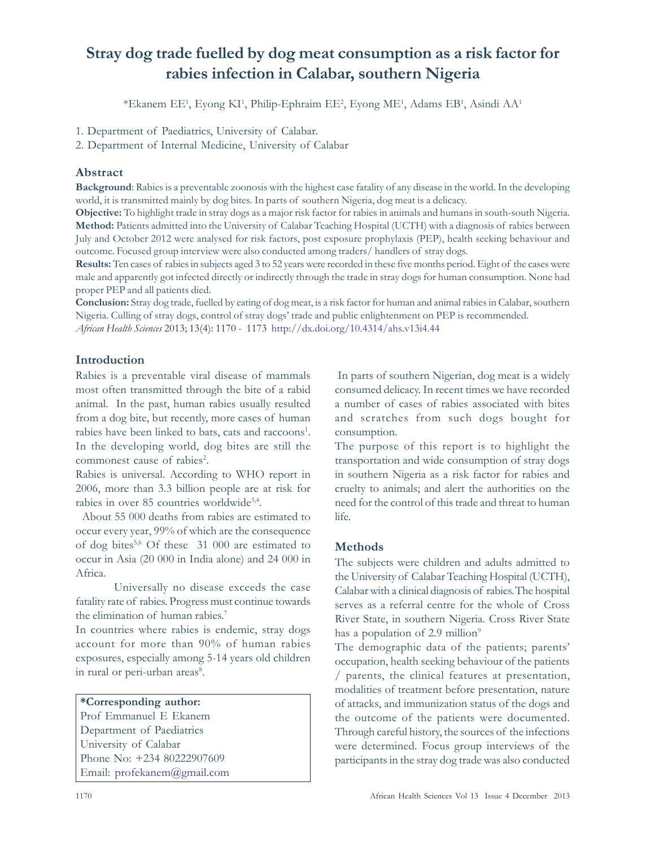# Stray dog trade fuelled by dog meat consumption as a risk factor for rabies infection in Calabar, southern Nigeria

\*Ekanem EE<sup>1</sup>, Eyong KI<sup>1</sup>, Philip-Ephraim EE<sup>2</sup>, Eyong ME<sup>1</sup>, Adams EB<sup>1</sup>, Asindi AA<sup>1</sup>

1. Department of Paediatrics, University of Calabar.

2. Department of Internal Medicine, University of Calabar

# Abstract

Background: Rabies is a preventable zoonosis with the highest case fatality of any disease in the world. In the developing world, it is transmitted mainly by dog bites. In parts of southern Nigeria, dog meat is a delicacy.

Objective: To highlight trade in stray dogs as a major risk factor for rabies in animals and humans in south-south Nigeria. Method: Patients admitted into the University of Calabar Teaching Hospital (UCTH) with a diagnosis of rabies between July and October 2012 were analysed for risk factors, post exposure prophylaxis (PEP), health seeking behaviour and outcome. Focused group interview were also conducted among traders/ handlers of stray dogs.

Results: Ten cases of rabies in subjects aged 3 to 52 years were recorded in these five months period. Eight of the cases were male and apparently got infected directly or indirectly through the trade in stray dogs for human consumption. None had proper PEP and all patients died.

Conclusion: Stray dog trade, fuelled by eating of dog meat, is a risk factor for human and animal rabies in Calabar, southern Nigeria. Culling of stray dogs, control of stray dogs' trade and public enlightenment on PEP is recommended. African Health Sciences 2013; 13(4): 1170 - 1173 http://dx.doi.org/10.4314/ahs.v13i4.44

# Introduction

Rabies is a preventable viral disease of mammals most often transmitted through the bite of a rabid animal. In the past, human rabies usually resulted from a dog bite, but recently, more cases of human rabies have been linked to bats, cats and raccoons<sup>1</sup>. In the developing world, dog bites are still the commonest cause of rabies<sup>2</sup>.

Rabies is universal. According to WHO report in 2006, more than 3.3 billion people are at risk for rabies in over 85 countries worldwide<sup>3,4</sup>.

 About 55 000 deaths from rabies are estimated to occur every year, 99% of which are the consequence of dog bites5,6 Of these 31 000 are estimated to occur in Asia (20 000 in India alone) and 24 000 in Africa.

Universally no disease exceeds the case fatality rate of rabies. Progress must continue towards the elimination of human rabies. 7

In countries where rabies is endemic, stray dogs account for more than 90% of human rabies exposures, especially among 5-14 years old children in rural or peri-urban areas<sup>8</sup>.

## \*Corresponding author:

Prof Emmanuel E Ekanem Department of Paediatrics University of Calabar Phone No: +234 80222907609 Email: profekanem@gmail.com

 In parts of southern Nigerian, dog meat is a widely consumed delicacy. In recent times we have recorded a number of cases of rabies associated with bites and scratches from such dogs bought for consumption.

The purpose of this report is to highlight the transportation and wide consumption of stray dogs in southern Nigeria as a risk factor for rabies and cruelty to animals; and alert the authorities on the need for the control of this trade and threat to human life.

# Methods

The subjects were children and adults admitted to the University of Calabar Teaching Hospital (UCTH), Calabar with a clinical diagnosis of rabies.The hospital serves as a referral centre for the whole of Cross River State, in southern Nigeria. Cross River State has a population of  $2.9 \text{ million}^9$ 

The demographic data of the patients; parents' occupation, health seeking behaviour of the patients / parents, the clinical features at presentation, modalities of treatment before presentation, nature of attacks, and immunization status of the dogs and the outcome of the patients were documented. Through careful history, the sources of the infections were determined. Focus group interviews of the participants in the stray dog trade was also conducted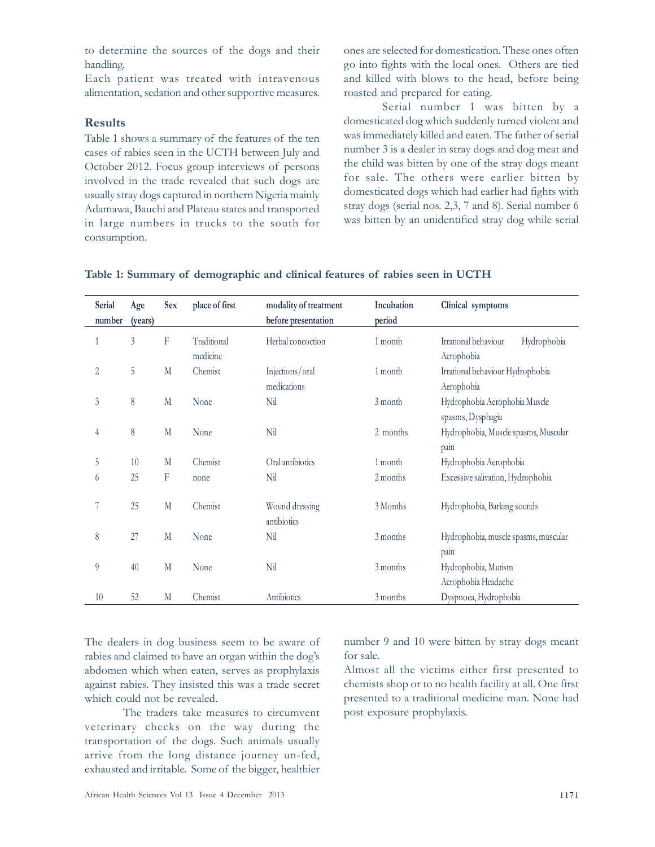to determine the sources of the dogs and their handling.

Each patient was treated with intravenous alimentation, sedation and other supportive measures.

#### Results

Table 1 shows a summary of the features of the ten cases of rabies seen in the UCTH between July and October 2012. Focus group interviews of persons involved in the trade revealed that such dogs are usually stray dogs captured in northern Nigeria mainly Adamawa, Bauchi and Plateau states and transported in large numbers in trucks to the south for consumption.

ones are selected for domestication. These ones often go into fights with the local ones. Others are tied and killed with blows to the head, before being roasted and prepared for eating.

Serial number 1 was bitten by a domesticated dog which suddenly turned violent and was immediately killed and eaten. The father of serial number 3 is a dealer in stray dogs and dog meat and the child was bitten by one of the stray dogs meant for sale. The others were earlier bitten by domesticated dogs which had earlier had fights with stray dogs (serial nos. 2,3, 7 and 8). Serial number 6 was bitten by an unidentified stray dog while serial

| Serial<br>number | Age<br>(years) | <b>Sex</b> | place of first          | modality of treatment<br>before presentation | Incubation<br>period | Clinical symptoms                                  |  |
|------------------|----------------|------------|-------------------------|----------------------------------------------|----------------------|----------------------------------------------------|--|
|                  | $\overline{3}$ | F          | Traditional<br>medicine | Herbal concoction                            | 1 month              | Irrational behaviour<br>Hydrophobia<br>Aerophobia  |  |
| 2                | 5              | M          | Chemist                 | Injections/oral<br>medications               | 1 month              | Irrational behaviour Hydrophobia<br>Aerophobia     |  |
| 3                | $\,$ $\,$      | M          | None                    | Nil                                          | 3 month              | Hydrophobia Aerophobia Muscle<br>spasms, Dysphagia |  |
| 4                | 8              | M          | None                    | Nil                                          | 2 months             | Hydrophobia, Muscle spasms, Muscular<br>pain       |  |
| 5                | 10             | M          | Chemist                 | Oral antibiotics                             | 1 month              | Hydrophobia Aerophobia                             |  |
| 6                | 25             | F          | none                    | Nil                                          | 2 months             | Excessive salivation, Hydrophobia                  |  |
|                  | 25             | M          | Chemist                 | Wound dressing<br>antibiotics                | 3 Months             | Hydrophobia, Barking sounds                        |  |
| 8                | 27             | M          | None                    | Nil                                          | 3 months             | Hydrophobia, muscle spasms, muscular               |  |
|                  |                |            |                         |                                              |                      | pain                                               |  |
| 9                | 40             | M          | None                    | Nil                                          | 3 months             | Hydrophobia, Mutism                                |  |
|                  |                |            |                         |                                              |                      | Aerophobia Headache                                |  |
| 10               | 52             | M          | Chemist                 | Antibiotics                                  | 3 months             | Dyspnoea, Hydrophobia                              |  |

| Table 1: Summary of demographic and clinical features of rabies seen in UCTH |  |  |  |  |
|------------------------------------------------------------------------------|--|--|--|--|
|------------------------------------------------------------------------------|--|--|--|--|

The dealers in dog business seem to be aware of rabies and claimed to have an organ within the dog's abdomen which when eaten, serves as prophylaxis against rabies. They insisted this was a trade secret which could not be revealed.

The traders take measures to circumvent veterinary checks on the way during the transportation of the dogs. Such animals usually arrive from the long distance journey un-fed, exhausted and irritable. Some of the bigger, healthier number 9 and 10 were bitten by stray dogs meant for sale.

Almost all the victims either first presented to chemists shop or to no health facility at all. One first presented to a traditional medicine man. None had post exposure prophylaxis.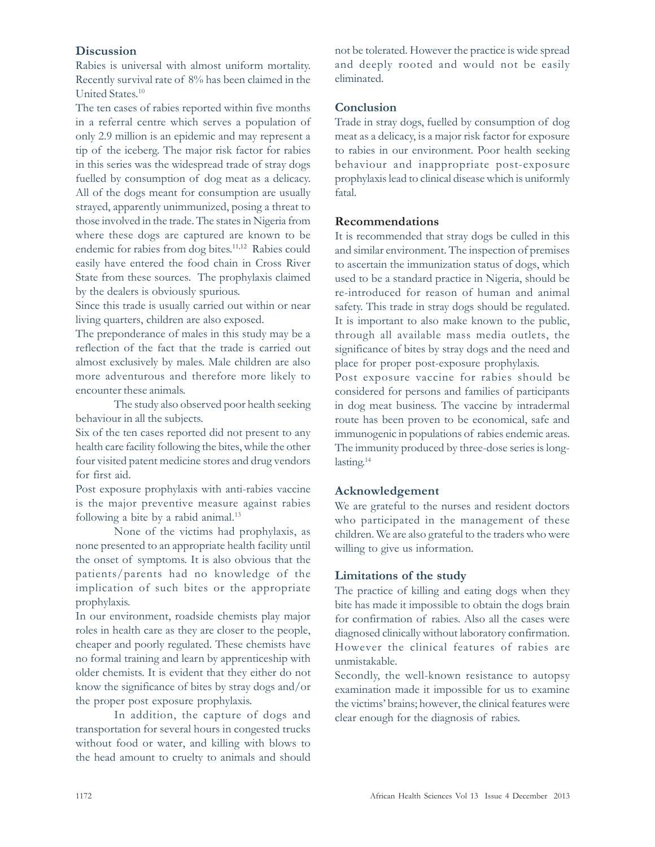## **Discussion**

Rabies is universal with almost uniform mortality. Recently survival rate of 8% has been claimed in the United States. 10

The ten cases of rabies reported within five months in a referral centre which serves a population of only 2.9 million is an epidemic and may represent a tip of the iceberg. The major risk factor for rabies in this series was the widespread trade of stray dogs fuelled by consumption of dog meat as a delicacy. All of the dogs meant for consumption are usually strayed, apparently unimmunized, posing a threat to those involved in the trade. The states in Nigeria from where these dogs are captured are known to be endemic for rabies from dog bites. 11,12 Rabies could easily have entered the food chain in Cross River State from these sources. The prophylaxis claimed by the dealers is obviously spurious.

Since this trade is usually carried out within or near living quarters, children are also exposed.

The preponderance of males in this study may be a reflection of the fact that the trade is carried out almost exclusively by males. Male children are also more adventurous and therefore more likely to encounter these animals.

The study also observed poor health seeking behaviour in all the subjects.

Six of the ten cases reported did not present to any health care facility following the bites, while the other four visited patent medicine stores and drug vendors for first aid.

Post exposure prophylaxis with anti-rabies vaccine is the major preventive measure against rabies following a bite by a rabid animal.<sup>13</sup>

None of the victims had prophylaxis, as none presented to an appropriate health facility until the onset of symptoms. It is also obvious that the patients/parents had no knowledge of the implication of such bites or the appropriate prophylaxis.

In our environment, roadside chemists play major roles in health care as they are closer to the people, cheaper and poorly regulated. These chemists have no formal training and learn by apprenticeship with older chemists. It is evident that they either do not know the significance of bites by stray dogs and/or the proper post exposure prophylaxis.

In addition, the capture of dogs and transportation for several hours in congested trucks without food or water, and killing with blows to the head amount to cruelty to animals and should not be tolerated. However the practice is wide spread and deeply rooted and would not be easily eliminated.

## **Conclusion**

Trade in stray dogs, fuelled by consumption of dog meat as a delicacy, is a major risk factor for exposure to rabies in our environment. Poor health seeking behaviour and inappropriate post-exposure prophylaxis lead to clinical disease which is uniformly fatal.

### Recommendations

It is recommended that stray dogs be culled in this and similar environment. The inspection of premises to ascertain the immunization status of dogs, which used to be a standard practice in Nigeria, should be re-introduced for reason of human and animal safety. This trade in stray dogs should be regulated. It is important to also make known to the public, through all available mass media outlets, the significance of bites by stray dogs and the need and place for proper post-exposure prophylaxis.

Post exposure vaccine for rabies should be considered for persons and families of participants in dog meat business. The vaccine by intradermal route has been proven to be economical, safe and immunogenic in populations of rabies endemic areas. The immunity produced by three-dose series is longlasting. 14

## Acknowledgement

We are grateful to the nurses and resident doctors who participated in the management of these children. We are also grateful to the traders who were willing to give us information.

#### Limitations of the study

The practice of killing and eating dogs when they bite has made it impossible to obtain the dogs brain for confirmation of rabies. Also all the cases were diagnosed clinically without laboratory confirmation. However the clinical features of rabies are unmistakable.

Secondly, the well-known resistance to autopsy examination made it impossible for us to examine the victims' brains; however, the clinical features were clear enough for the diagnosis of rabies.